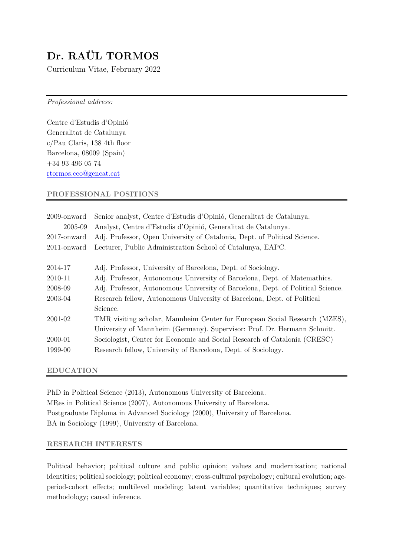# **Dr. RAÜL TORMOS**

Curriculum Vitae, February 2022

*Professional address:* 

Centre d'Estudis d'Opinió Generalitat de Catalunya c/Pau Claris, 138 4th floor Barcelona, 08009 (Spain) +34 93 496 05 74 rtormos.ceo@gencat.cat

## **PROFESSIONAL POSITIONS**

| 2009-onward | Senior analyst, Centre d'Estudis d'Opinió, Generalitat de Catalunya.            |
|-------------|---------------------------------------------------------------------------------|
| 2005-09     | Analyst, Centre d'Estudis d'Opinió, Generalitat de Catalunya.                   |
| 2017-onward | Adj. Professor, Open University of Catalonia, Dept. of Political Science.       |
| 2011-onward | Lecturer, Public Administration School of Catalunya, EAPC.                      |
|             |                                                                                 |
| 2014-17     | Adj. Professor, University of Barcelona, Dept. of Sociology.                    |
| 2010-11     | Adj. Professor, Autonomous University of Barcelona, Dept. of Matemathics.       |
| 2008-09     | Adj. Professor, Autonomous University of Barcelona, Dept. of Political Science. |
| 2003-04     | Research fellow, Autonomous University of Barcelona, Dept. of Political         |
|             | Science.                                                                        |
| 2001-02     | TMR visiting scholar, Mannheim Center for European Social Research (MZES),      |
|             | University of Mannheim (Germany). Supervisor: Prof. Dr. Hermann Schmitt.        |
| 2000-01     | Sociologist, Center for Economic and Social Research of Catalonia (CRESC)       |
| 1999-00     | Research fellow, University of Barcelona, Dept. of Sociology.                   |

## **EDUCATION**

PhD in Political Science (2013), Autonomous University of Barcelona. MRes in Political Science (2007), Autonomous University of Barcelona. Postgraduate Diploma in Advanced Sociology (2000), University of Barcelona. BA in Sociology (1999), University of Barcelona.

## **RESEARCH INTERESTS**

Political behavior; political culture and public opinion; values and modernization; national identities; political sociology; political economy; cross-cultural psychology; cultural evolution; ageperiod-cohort effects; multilevel modeling; latent variables; quantitative techniques; survey methodology; causal inference.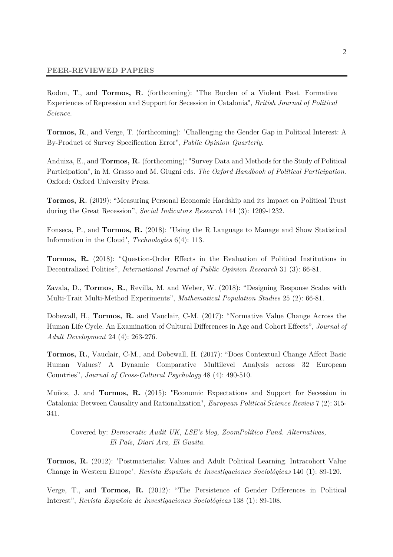Rodon, T., and **Tormos, R**. (forthcoming): "The Burden of a Violent Past. Formative Experiences of Repression and Support for Secession in Catalonia", *British Journal of Political Science*.

**Tormos, R**., and Verge, T. (forthcoming): "Challenging the Gender Gap in Political Interest: A By-Product of Survey Specification Error", *Public Opinion Quarterly*.

Anduiza, E., and **Tormos, R.** (forthcoming): "Survey Data and Methods for the Study of Political Participation", in M. Grasso and M. Giugni eds. *The Oxford Handbook of Political Participation*. Oxford: Oxford University Press.

**Tormos, R.** (2019): "Measuring Personal Economic Hardship and its Impact on Political Trust during the Great Recession", *Social Indicators Research* 144 (3): 1209-1232.

Fonseca, P., and **Tormos, R.** (2018): "Using the R Language to Manage and Show Statistical Information in the Cloud", *Technologies* 6(4): 113.

**Tormos, R.** (2018): "Question-Order Effects in the Evaluation of Political Institutions in Decentralized Polities", *International Journal of Public Opinion Research* 31 (3): 66-81.

Zavala, D., **Tormos, R.**, Revilla, M. and Weber, W. (2018): "Designing Response Scales with Multi-Trait Multi-Method Experiments", *Mathematical Population Studies* 25 (2): 66-81.

Dobewall, H., **Tormos, R.** and Vauclair, C-M. (2017): "Normative Value Change Across the Human Life Cycle. An Examination of Cultural Differences in Age and Cohort Effects", *Journal of Adult Development* 24 (4): 263-276.

**Tormos, R.**, Vauclair, C-M., and Dobewall, H. (2017): "Does Contextual Change Affect Basic Human Values? A Dynamic Comparative Multilevel Analysis across 32 European Countries", *Journal of Cross-Cultural Psychology* 48 (4): 490-510.

Muñoz, J. and **Tormos, R.** (2015): "Economic Expectations and Support for Secession in Catalonia: Between Causality and Rationalization", *European Political Science Review* 7 (2): 315- 341.

Covered by: *Democratic Audit UK, LSE's blog, ZoomPolítico Fund. Alternativas, El País, Diari Ara, El Guaita.*

**Tormos, R.** (2012): "Postmaterialist Values and Adult Political Learning. Intracohort Value Change in Western Europe", *Revista Española de Investigaciones Sociológicas* 140 (1): 89-120.

Verge, T., and **Tormos, R.** (2012): "The Persistence of Gender Differences in Political Interest", *Revista Española de Investigaciones Sociológicas* 138 (1): 89-108.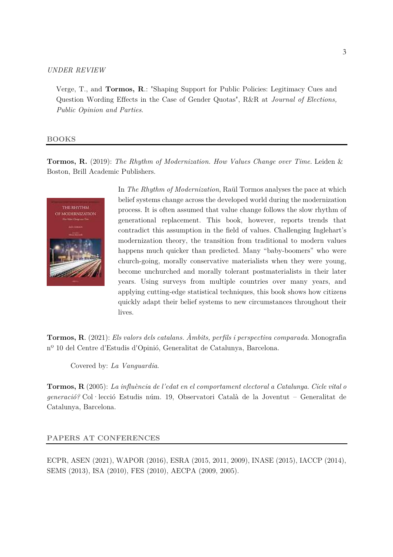#### *UNDER REVIEW*

Verge, T., and **Tormos, R**.: "Shaping Support for Public Policies: Legitimacy Cues and Question Wording Effects in the Case of Gender Quotas", R&R at *Journal of Elections, Public Opinion and Parties*.

#### **BOOKS**

**Tormos, R.** (2019): *The Rhythm of Modernization. How Values Change over Time*. Leiden & Boston, Brill Academic Publishers.



In *The Rhythm of Modernization*, Raül Tormos analyses the pace at which belief systems change across the developed world during the modernization process. It is often assumed that value change follows the slow rhythm of generational replacement. This book, however, reports trends that contradict this assumption in the field of values. Challenging Inglehart's modernization theory, the transition from traditional to modern values happens much quicker than predicted. Many "baby-boomers" who were church-going, morally conservative materialists when they were young, become unchurched and morally tolerant postmaterialists in their later years. Using surveys from multiple countries over many years, and applying cutting-edge statistical techniques, this book shows how citizens quickly adapt their belief systems to new circumstances throughout their lives.

**Tormos, R**. (2021): *Els valors dels catalans. Àmbits, perfils i perspectiva comparada*. Monografia nº 10 del Centre d'Estudis d'Opinió, Generalitat de Catalunya, Barcelona.

Covered by: *La Vanguardia*.

**Tormos, R** (2005): *La influència de l'edat en el comportament electoral a Catalunya. Cicle vital o generació?* Col·lecció Estudis núm. 19, Observatori Català de la Joventut – Generalitat de Catalunya, Barcelona.

#### **PAPERS AT CONFERENCES**

ECPR, ASEN (2021), WAPOR (2016), ESRA (2015, 2011, 2009), INASE (2015), IACCP (2014), SEMS (2013), ISA (2010), FES (2010), AECPA (2009, 2005).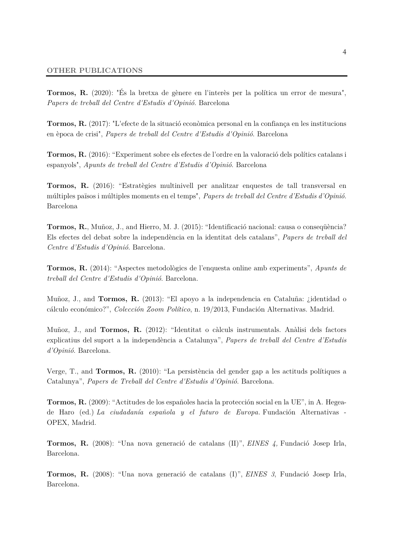**Tormos, R.** (2020): "És la bretxa de gènere en l'interès per la política un error de mesura", *Papers de treball del Centre d'Estudis d'Opinió*. Barcelona

**Tormos, R.** (2017): "L'efecte de la situació econòmica personal en la confiança en les institucions en època de crisi", *Papers de treball del Centre d'Estudis d'Opinió*. Barcelona

**Tormos, R.** (2016): "Experiment sobre els efectes de l'ordre en la valoració dels polítics catalans i espanyols", *Apunts de treball del Centre d'Estudis d'Opinió*. Barcelona

**Tormos, R.** (2016): "Estratègies multinivell per analitzar enquestes de tall transversal en múltiples països i múltiples moments en el temps", *Papers de treball del Centre d'Estudis d'Opinió*. Barcelona

**Tormos, R.**, Muñoz, J., and Hierro, M. J. (2015): "Identificació nacional: causa o conseqüència? Els efectes del debat sobre la independència en la identitat dels catalans", *Papers de treball del Centre d'Estudis d'Opinió*. Barcelona.

**Tormos, R.** (2014): "Aspectes metodològics de l'enquesta online amb experiments", *Apunts de treball del Centre d'Estudis d'Opinió*. Barcelona.

Muñoz, J., and **Tormos, R.** (2013): "El apoyo a la independencia en Cataluña: ¿identidad o cálculo económico?", *Colección Zoom Político*, n. 19/2013, Fundación Alternativas. Madrid.

Muñoz, J., and **Tormos, R.** (2012): "Identitat o càlculs instrumentals. Anàlisi dels factors explicatius del suport a la independència a Catalunya", *Papers de treball del Centre d'Estudis d'Opinió*. Barcelona.

Verge, T., and **Tormos, R.** (2010): "La persistència del gender gap a les actituds polítiques a Catalunya", *Papers de Treball del Centre d'Estudis d'Opinió*. Barcelona.

**Tormos, R.** (2009): "Actitudes de los españoles hacia la protección social en la UE", in A. Hegeade Haro (ed.) *La ciudadanía española y el futuro de Europa.* Fundación Alternativas - OPEX, Madrid.

**Tormos, R.** (2008): "Una nova generació de catalans (II)", *EINES 4,* Fundació Josep Irla, Barcelona.

**Tormos, R.** (2008): "Una nova generació de catalans (I)", *EINES 3*, Fundació Josep Irla, Barcelona.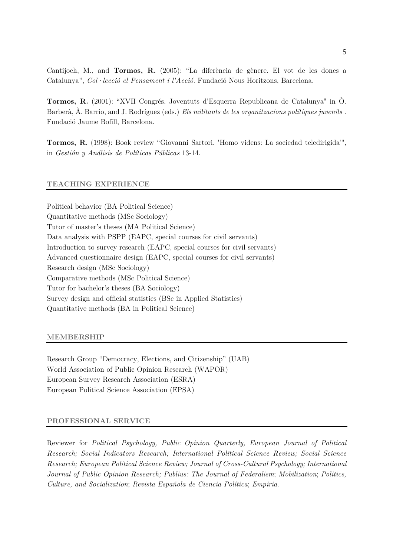Cantijoch, M., and **Tormos, R.** (2005): "La diferència de gènere. El vot de les dones a Catalunya", *Col·lecció el Pensament i l'Acció*. Fundació Nous Horitzons, Barcelona.

**Tormos, R.** (2001): "XVII Congrés. Joventuts d'Esquerra Republicana de Catalunya" in Ò. Barberà, À. Barrio, and J. Rodríguez (eds.) *Els militants de les organitzacions polítiques juvenils* . Fundació Jaume Bofill, Barcelona.

**Tormos, R.** (1998): Book review "Giovanni Sartori. 'Homo videns: La sociedad teledirigida'", in *Gestión y Análisis de Políticas Públicas* 13-14.

#### **TEACHING EXPERIENCE**

Political behavior (BA Political Science) Quantitative methods (MSc Sociology) Tutor of master's theses (MA Political Science) Data analysis with PSPP (EAPC, special courses for civil servants) Introduction to survey research (EAPC, special courses for civil servants) Advanced questionnaire design (EAPC, special courses for civil servants) Research design (MSc Sociology) Comparative methods (MSc Political Science) Tutor for bachelor's theses (BA Sociology) Survey design and official statistics (BSc in Applied Statistics) Quantitative methods (BA in Political Science)

#### **MEMBERSHIP**

Research Group "Democracy, Elections, and Citizenship" (UAB) World Association of Public Opinion Research (WAPOR) European Survey Research Association (ESRA) European Political Science Association (EPSA)

#### **PROFESSIONAL SERVICE**

Reviewer for *Political Psychology, Public Opinion Quarterly, European Journal of Political Research; Social Indicators Research; International Political Science Review; Social Science Research; European Political Science Review; Journal of Cross-Cultural Psychology; International Journal of Public Opinion Research; Publius: The Journal of Federalism*; *Mobilization*; *Politics, Culture, and Socialization*; *Revista Española de Ciencia Política*; *Empiria*.